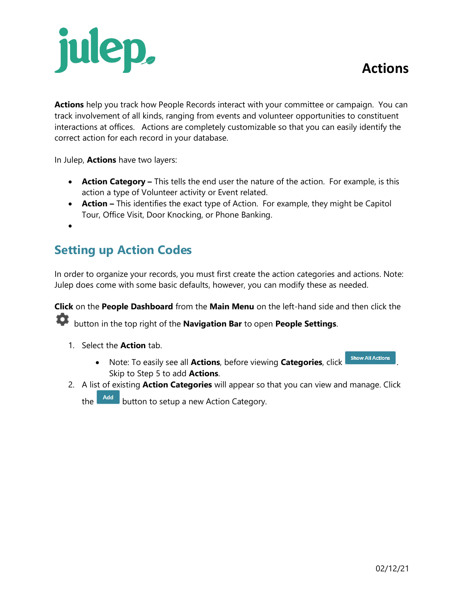# julep,

**Actions** help you track how People Records interact with your committee or campaign. You can track involvement of all kinds, ranging from events and volunteer opportunities to constituent interactions at offices. Actions are completely customizable so that you can easily identify the correct action for each record in your database.

In Julep, **Actions** have two layers:

- **Action Category –** This tells the end user the nature of the action. For example, is this action a type of Volunteer activity or Event related.
- **Action –** This identifies the exact type of Action. For example, they might be Capitol Tour, Office Visit, Door Knocking, or Phone Banking.
- •

# **Setting up Action Codes**

In order to organize your records, you must first create the action categories and actions. Note: Julep does come with some basic defaults, however, you can modify these as needed.

**Click** on the **People Dashboard** from the **Main Menu** on the left-hand side and then click the button in the top right of the **Navigation Bar** to open **People Settings**.

- 1. Select the **Action** tab.
	- Note: To easily see all **Actions**, before viewing **Categories**, click **Show All Actions** Skip to Step 5 to add **Actions**.
- 2. A list of existing **Action Categories** will appear so that you can view and manage. Click

the  $\Box$  and button to setup a new Action Category.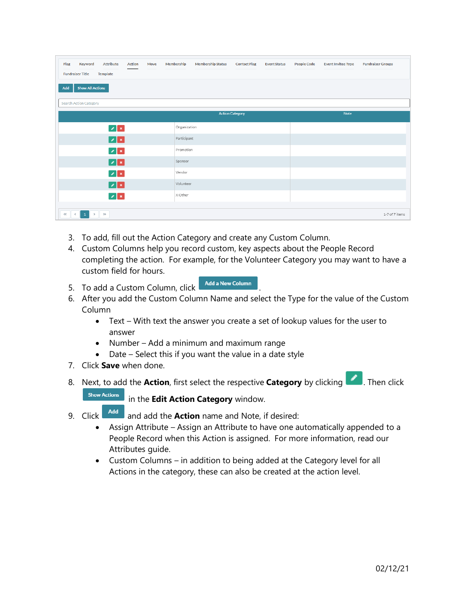| Attribute<br>Action<br>Keyword<br>Flag<br>Move<br><b>Fundraiser Title</b><br><b>Template</b> | Membership<br><b>Membership Status</b><br><b>Contact Flag</b><br><b>Event Status</b> | <b>People Code</b><br><b>Event Invitee Type</b><br><b>Fundraiser Groups</b> |
|----------------------------------------------------------------------------------------------|--------------------------------------------------------------------------------------|-----------------------------------------------------------------------------|
| <b>Show All Actions</b><br>Add                                                               |                                                                                      |                                                                             |
| <b>Search Action Category</b>                                                                |                                                                                      |                                                                             |
|                                                                                              | <b>Action Category</b>                                                               | Note                                                                        |
| $\mathbf{z}$                                                                                 | Organization                                                                         |                                                                             |
| $ z $ $\ge$                                                                                  | Participant                                                                          |                                                                             |
| $\mathbf{z}$                                                                                 | Promotion                                                                            |                                                                             |
| $ z $ x                                                                                      | Sponsor                                                                              |                                                                             |
| $\mathbb{Z}[\mathbf{x}]$                                                                     | Vendor                                                                               |                                                                             |
| $ z $ $\ge$                                                                                  | Volunteer                                                                            |                                                                             |
| $ z $ $ z $                                                                                  | X Other                                                                              |                                                                             |
| $\left\langle \left\langle \cdot\right\rangle \right\rangle$<br>$\bullet$<br>$\gg$<br>$\,$   |                                                                                      | 1-7 of 7 items                                                              |

- 3. To add, fill out the Action Category and create any Custom Column.
- 4. Custom Columns help you record custom, key aspects about the People Record completing the action. For example, for the Volunteer Category you may want to have a custom field for hours.
- 5. To add a Custom Column, click **Add a New Column**
- 6. After you add the Custom Column Name and select the Type for the value of the Custom Column
	- Text With text the answer you create a set of lookup values for the user to answer
	- Number Add a minimum and maximum range
	- Date Select this if you want the value in a date style
- 7. Click **Save** when done.
- 8. Next, to add the **Action**, first select the respective **Category** by clicking **19.** Then click



in the **Edit Action Category** window.

- 9. Click **Add** and add the **Action** name and Note, if desired:
	- Assign Attribute Assign an Attribute to have one automatically appended to a People Record when this Action is assigned. For more information, read our Attributes guide.
	- Custom Columns in addition to being added at the Category level for all Actions in the category, these can also be created at the action level.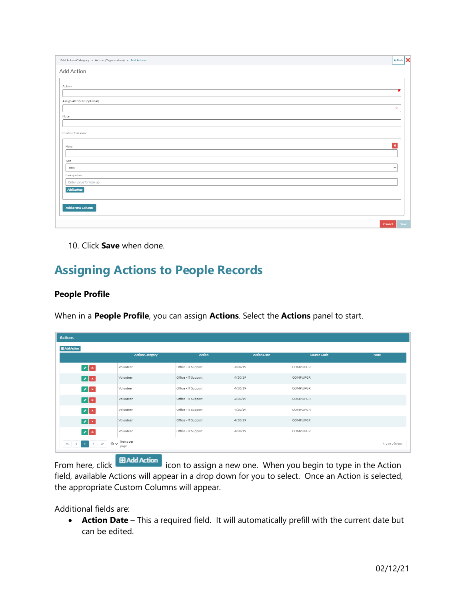| Edit Action Category > Action (Organization) > Add Action | $\leftarrow$ Back $\mathbf{\times}$ |  |
|-----------------------------------------------------------|-------------------------------------|--|
| Add Action                                                |                                     |  |
| Action                                                    |                                     |  |
|                                                           |                                     |  |
| Assign Attribute (optional)                               |                                     |  |
|                                                           | ×                                   |  |
| Note                                                      |                                     |  |
|                                                           |                                     |  |
| Custom Columns:                                           |                                     |  |
| $\pmb{\times}$<br>Name                                    |                                     |  |
|                                                           |                                     |  |
| Type                                                      |                                     |  |
| text<br>Look up values:                                   | $\check{~}$                         |  |
| Enter value for look up                                   |                                     |  |
| Add Lookup                                                |                                     |  |
|                                                           |                                     |  |
| Add a New Column                                          |                                     |  |
|                                                           |                                     |  |
| Cancel                                                    | Save                                |  |

10. Click **Save** when done.

## **Assigning Actions to People Records**

#### **People Profile**

When in a **People Profile**, you can assign **Actions**. Select the **Actions** panel to start.

| <b>Actions</b>                                                                       |                        |                     |                    |                    |                |
|--------------------------------------------------------------------------------------|------------------------|---------------------|--------------------|--------------------|----------------|
| <b>EB</b> Add Action                                                                 |                        |                     |                    |                    |                |
|                                                                                      | <b>Action Category</b> | <b>Action</b>       | <b>Action Date</b> | <b>Source Code</b> | Note           |
| $\mathbf{z}$ $\mathbf{x}$                                                            | Volunteer              | Office - IT Support | 4/30/19            | <b>COMPUPGR</b>    |                |
| $ z $ $\ge$                                                                          | Volunteer              | Office - IT Support | 4/30/19            | <b>COMPUPGR</b>    |                |
| $ z $ x                                                                              | Volunteer              | Office - IT Support | 4/30/19            | COMPUPGR           |                |
| $ z $ x                                                                              | Volunteer              | Office - IT Support | 4/30/19            | <b>COMPUPGR</b>    |                |
| $\mathbf{z}$ $\mathbf{x}$                                                            | Volunteer              | Office - IT Support | 4/30/19            | COMPUPGR           |                |
| $ z $ x                                                                              | Volunteer              | Office - IT Support | 4/30/19            | <b>COMPUPGR</b>    |                |
| $\mathbb{Z}$ $\mathbb{R}$                                                            | Volunteer              | Office - IT Support | 4/30/19            | <b>COMPUPGR</b>    |                |
| items per<br><b>KOL</b><br>$10 \vee$<br>$\rightarrow$<br>$\rightarrow$<br><<<br>page |                        |                     |                    |                    | 1-7 of 7 items |

From here, click **ED Add Action** icon to assign a new one. When you begin to type in the Action field, available Actions will appear in a drop down for you to select. Once an Action is selected, the appropriate Custom Columns will appear.

Additional fields are:

• **Action Date** – This a required field. It will automatically prefill with the current date but can be edited.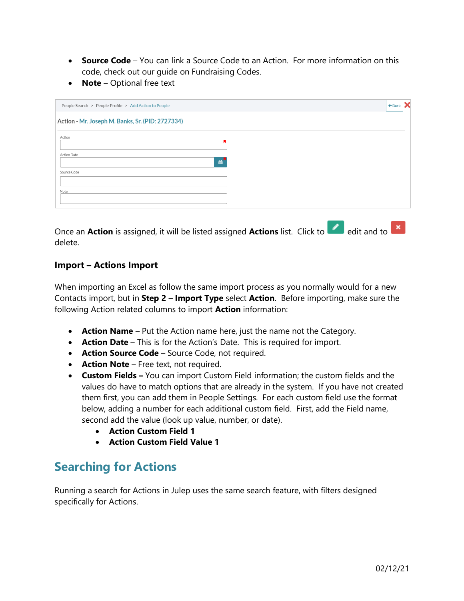- **Source Code** You can link a Source Code to an Action. For more information on this code, check out our guide on Fundraising Codes.
- **Note**  Optional free text

| People Search > People Profile > Add Action to People | $\leftarrow$ Back $\mathsf{X}$ |
|-------------------------------------------------------|--------------------------------|
| Action - Mr. Joseph M. Banks, Sr. (PID: 2727334)      |                                |
| Action                                                |                                |
| Action Date<br>≝                                      |                                |
| Source Code                                           |                                |
| Note                                                  |                                |
| <b>Contract</b>                                       |                                |

Once an **Action** is assigned, it will be listed assigned **Actions** list. Click to edit and to **x** delete.

#### **Import – Actions Import**

When importing an Excel as follow the same import process as you normally would for a new Contacts import, but in **Step 2 – Import Type** select **Action**. Before importing, make sure the following Action related columns to import **Action** information:

- **Action Name**  Put the Action name here, just the name not the Category.
- **Action Date** This is for the Action's Date. This is required for import.
- **Action Source Code** Source Code, not required.
- **Action Note** Free text, not required.
- **Custom Fields –** You can import Custom Field information; the custom fields and the values do have to match options that are already in the system. If you have not created them first, you can add them in People Settings. For each custom field use the format below, adding a number for each additional custom field. First, add the Field name, second add the value (look up value, number, or date).
	- **Action Custom Field 1**
	- **Action Custom Field Value 1**

### **Searching for Actions**

Running a search for Actions in Julep uses the same search feature, with filters designed specifically for Actions.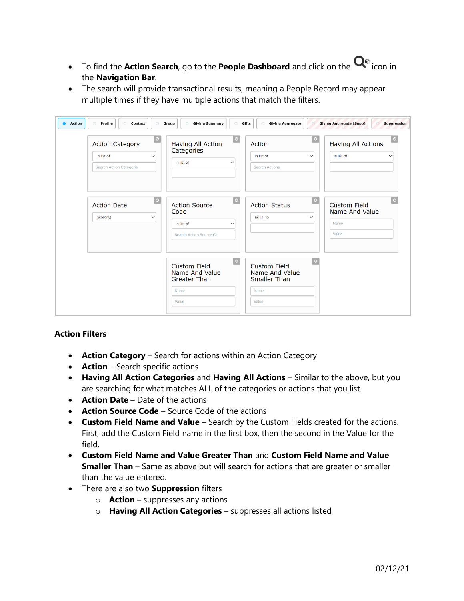- To find the **Action Search**, go to the **People Dashboard** and click on the  $Q^{\circ}$  icon in the **Navigation Bar**.
- The search will provide transactional results, meaning a People Record may appear multiple times if they have multiple actions that match the filters.

| Profile<br>Action<br>$\circ$<br><b>Contact</b><br>$\circ$<br>$\circ$<br><b>Action Category</b><br>in list of<br>$\checkmark$<br>Search Action Categorie | <b>Giving Summary</b><br>$\circlearrowright$<br>Group<br>$\circ$<br>$\bullet$<br>Having All Action<br>Categories<br>in list of<br>$\checkmark$ | <b>Giving Aggregate</b><br>Gifts<br>$\circ$<br>$\circ$<br>Action<br>in list of<br>$\checkmark$<br><b>Search Actions</b> | <b>Giving Aggregate (Supp)</b><br><b>Suppression</b><br>$\odot$<br>Having All Actions<br>in list of<br>$\checkmark$ |
|---------------------------------------------------------------------------------------------------------------------------------------------------------|------------------------------------------------------------------------------------------------------------------------------------------------|-------------------------------------------------------------------------------------------------------------------------|---------------------------------------------------------------------------------------------------------------------|
| $\odot$<br><b>Action Date</b><br>(Specify)<br>$\checkmark$                                                                                              | $\circ$<br><b>Action Source</b><br>Code<br>in list of<br>$\checkmark$<br>Search Action Source Co                                               | $\circ$<br><b>Action Status</b><br>Equal to<br>$\checkmark$                                                             | $\odot$<br><b>Custom Field</b><br>Name And Value<br>Name<br>Value                                                   |
|                                                                                                                                                         | $\odot$<br><b>Custom Field</b><br>Name And Value<br><b>Greater Than</b><br>Name<br>Value                                                       | $\circ$<br><b>Custom Field</b><br>Name And Value<br><b>Smaller Than</b><br>Name<br>Value                                |                                                                                                                     |

#### **Action Filters**

- **Action Category** Search for actions within an Action Category
- **Action** Search specific actions
- **Having All Action Categories** and **Having All Actions** Similar to the above, but you are searching for what matches ALL of the categories or actions that you list.
- **Action Date**  Date of the actions
- **Action Source Code**  Source Code of the actions
- **Custom Field Name and Value** Search by the Custom Fields created for the actions. First, add the Custom Field name in the first box, then the second in the Value for the field.
- **Custom Field Name and Value Greater Than** and **Custom Field Name and Value Smaller Than** – Same as above but will search for actions that are greater or smaller than the value entered.
- There are also two **Suppression** filters
	- o **Action –** suppresses any actions
	- o **Having All Action Categories**  suppresses all actions listed